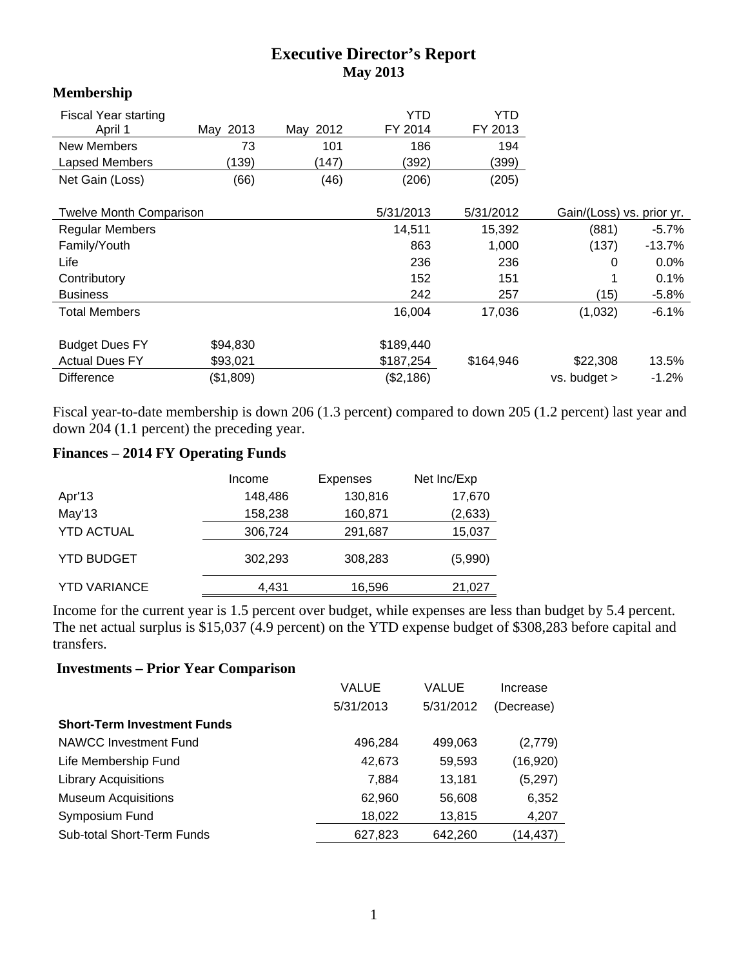## **Executive Director's Report May 2013**

| **************                 |           |          |           |           |                           |          |
|--------------------------------|-----------|----------|-----------|-----------|---------------------------|----------|
| <b>Fiscal Year starting</b>    |           |          | YTD       | YTD       |                           |          |
| April 1                        | May 2013  | May 2012 | FY 2014   | FY 2013   |                           |          |
| New Members                    | 73        | 101      | 186       | 194       |                           |          |
| Lapsed Members                 | (139)     | (147)    | (392)     | (399)     |                           |          |
| Net Gain (Loss)                | (66)      | (46)     | (206)     | (205)     |                           |          |
| <b>Twelve Month Comparison</b> |           |          | 5/31/2013 | 5/31/2012 | Gain/(Loss) vs. prior yr. |          |
| <b>Regular Members</b>         |           |          | 14,511    | 15,392    | (881)                     | $-5.7\%$ |
| Family/Youth                   |           |          | 863       | 1,000     | (137)                     | $-13.7%$ |
| Life                           |           |          | 236       | 236       | $\Omega$                  | 0.0%     |
| Contributory                   |           |          | 152       | 151       |                           | 0.1%     |
| <b>Business</b>                |           |          | 242       | 257       | (15)                      | $-5.8%$  |
| <b>Total Members</b>           |           |          | 16,004    | 17,036    | (1,032)                   | $-6.1%$  |
| <b>Budget Dues FY</b>          | \$94,830  |          | \$189,440 |           |                           |          |
| <b>Actual Dues FY</b>          | \$93,021  |          | \$187,254 | \$164,946 | \$22,308                  | 13.5%    |
| <b>Difference</b>              | (\$1,809) |          | (\$2,186) |           | $vs.$ budget $>$          | $-1.2%$  |

Fiscal year-to-date membership is down 206 (1.3 percent) compared to down 205 (1.2 percent) last year and down 204 (1.1 percent) the preceding year.

# **Finances – 2014 FY Operating Funds**

**Membership** 

|                     | Income  | <b>Expenses</b> | Net Inc/Exp |
|---------------------|---------|-----------------|-------------|
| Apr'13              | 148,486 | 130,816         | 17,670      |
| May'13              | 158,238 | 160,871         | (2,633)     |
| <b>YTD ACTUAL</b>   | 306,724 | 291,687         | 15,037      |
| <b>YTD BUDGET</b>   | 302,293 | 308,283         | (5,990)     |
| <b>YTD VARIANCE</b> | 4,431   | 16,596          | 21,027      |

Income for the current year is 1.5 percent over budget, while expenses are less than budget by 5.4 percent. The net actual surplus is \$15,037 (4.9 percent) on the YTD expense budget of \$308,283 before capital and transfers.

### **Investments – Prior Year Comparison**

|                                    | VALUE     | VALUE     | Increase   |
|------------------------------------|-----------|-----------|------------|
|                                    | 5/31/2013 | 5/31/2012 | (Decrease) |
| <b>Short-Term Investment Funds</b> |           |           |            |
| NAWCC Investment Fund              | 496,284   | 499,063   | (2,779)    |
| Life Membership Fund               | 42,673    | 59,593    | (16,920)   |
| <b>Library Acquisitions</b>        | 7,884     | 13,181    | (5, 297)   |
| <b>Museum Acquisitions</b>         | 62,960    | 56,608    | 6,352      |
| Symposium Fund                     | 18,022    | 13,815    | 4,207      |
| Sub-total Short-Term Funds         | 627,823   | 642,260   | (14,437)   |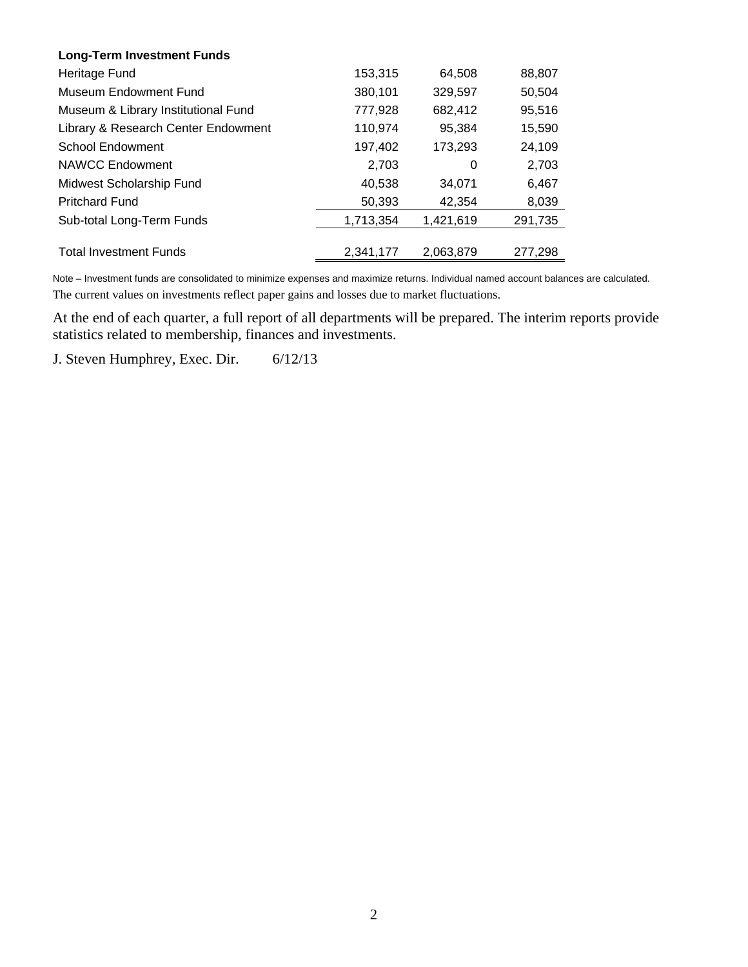| <b>Long-Term Investment Funds</b>   |           |           |         |
|-------------------------------------|-----------|-----------|---------|
| Heritage Fund                       | 153,315   | 64.508    | 88,807  |
| Museum Endowment Fund               | 380,101   | 329,597   | 50,504  |
| Museum & Library Institutional Fund | 777.928   | 682.412   | 95,516  |
| Library & Research Center Endowment | 110,974   | 95,384    | 15,590  |
| <b>School Endowment</b>             | 197,402   | 173,293   | 24,109  |
| <b>NAWCC Endowment</b>              | 2.703     | 0         | 2.703   |
| Midwest Scholarship Fund            | 40,538    | 34.071    | 6,467   |
| <b>Pritchard Fund</b>               | 50,393    | 42,354    | 8,039   |
| Sub-total Long-Term Funds           | 1,713,354 | 1,421,619 | 291,735 |
|                                     |           |           |         |
| <b>Total Investment Funds</b>       | 2.341.177 | 2.063.879 | 277.298 |

Note – Investment funds are consolidated to minimize expenses and maximize returns. Individual named account balances are calculated. The current values on investments reflect paper gains and losses due to market fluctuations.

At the end of each quarter, a full report of all departments will be prepared. The interim reports provide statistics related to membership, finances and investments.

J. Steven Humphrey, Exec. Dir. 6/12/13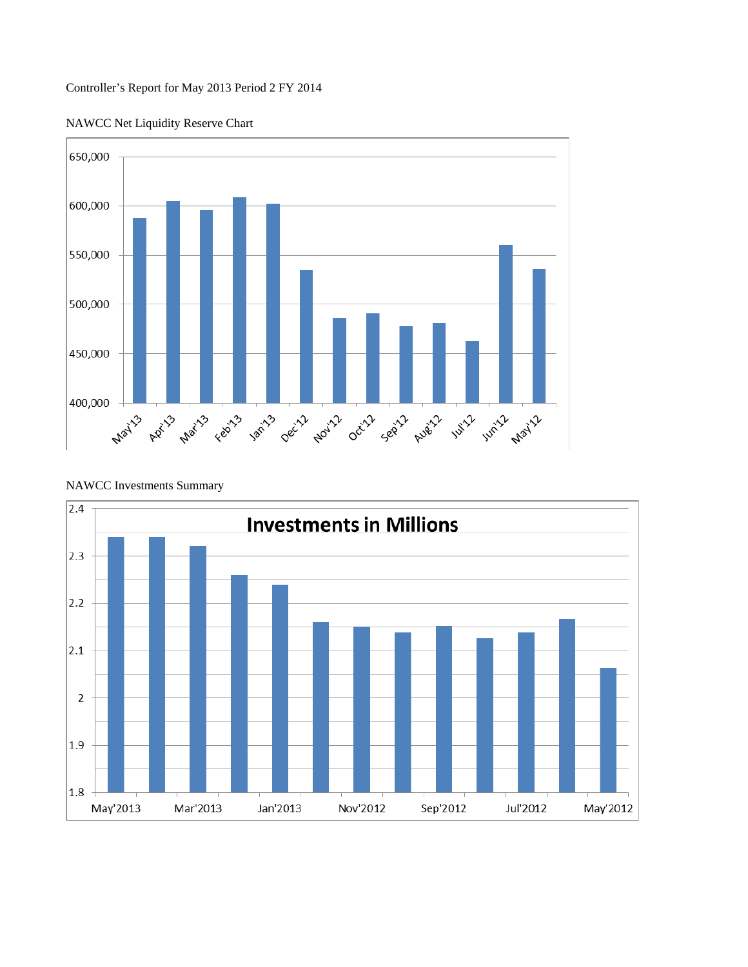### Controller's Report for May 2013 Period 2 FY 2014

NAWCC Net Liquidity Reserve Chart



NAWCC Investments Summary

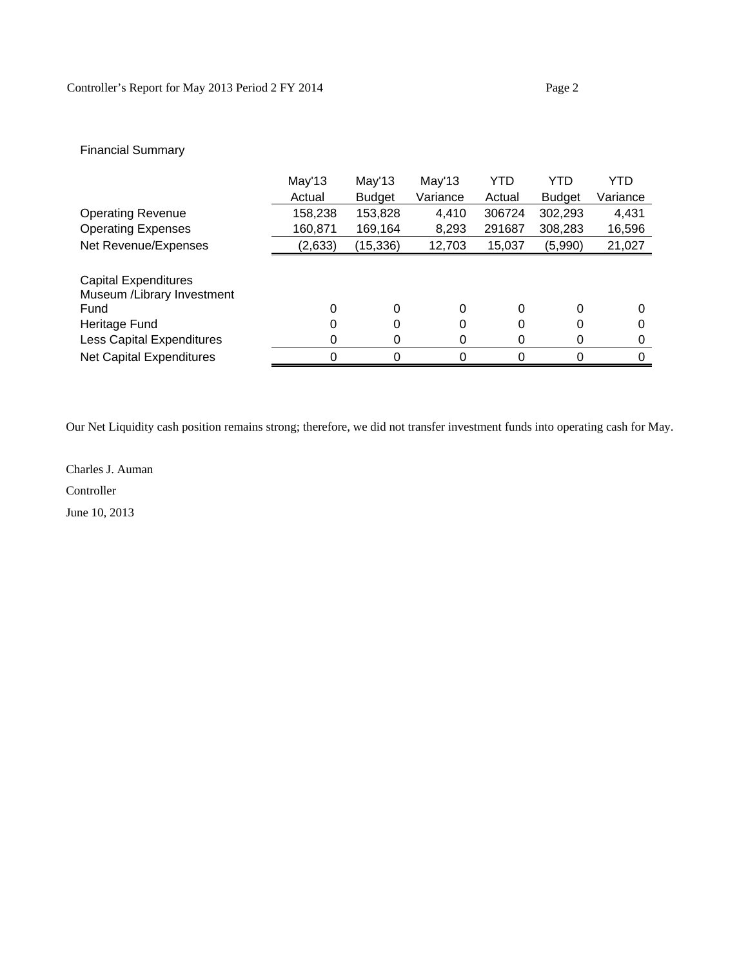### Financial Summary

|                                  | May'13  | May'13        | May'13   | YTD    | YTD           | YTD      |
|----------------------------------|---------|---------------|----------|--------|---------------|----------|
|                                  | Actual  | <b>Budget</b> | Variance | Actual | <b>Budget</b> | Variance |
| <b>Operating Revenue</b>         | 158,238 | 153,828       | 4,410    | 306724 | 302,293       | 4,431    |
| <b>Operating Expenses</b>        | 160,871 | 169,164       | 8,293    | 291687 | 308,283       | 16,596   |
| Net Revenue/Expenses             | (2,633) | (15, 336)     | 12,703   | 15,037 | (5,990)       | 21,027   |
|                                  |         |               |          |        |               |          |
| <b>Capital Expenditures</b>      |         |               |          |        |               |          |
| Museum /Library Investment       |         |               |          |        |               |          |
| Fund                             | 0       | 0             | 0        | 0      | 0             | 0        |
| Heritage Fund                    |         | 0             | 0        | 0      | 0             | 0        |
| <b>Less Capital Expenditures</b> | O       | 0             | 0        | 0      | 0             | 0        |
| <b>Net Capital Expenditures</b>  |         | 0             | 0        |        |               | 0        |

Our Net Liquidity cash position remains strong; therefore, we did not transfer investment funds into operating cash for May.

Charles J. Auman

Controller

June 10, 2013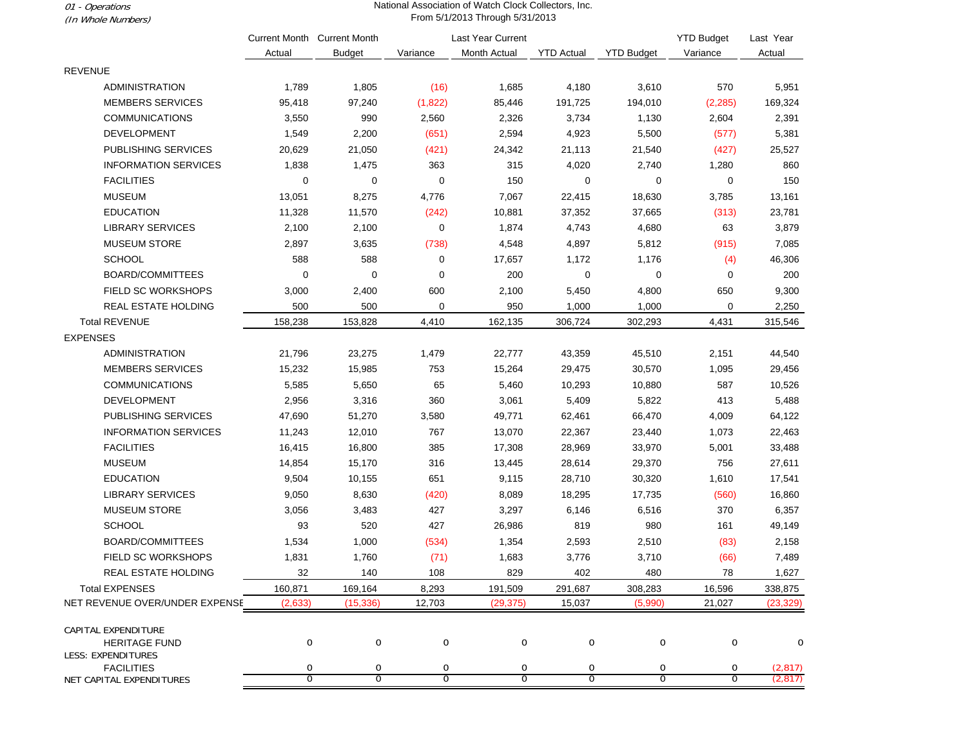01 - Operations (In Whole Numbers)

#### National Association of Watch Clock Collectors, Inc. From 5/1/2013 Through 5/31/2013

|                                                   |                | <b>Current Month Current Month</b> |                  | Last Year Current |                   |                   | <b>YTD Budget</b> | Last Year |
|---------------------------------------------------|----------------|------------------------------------|------------------|-------------------|-------------------|-------------------|-------------------|-----------|
|                                                   | Actual         | <b>Budget</b>                      | Variance         | Month Actual      | <b>YTD Actual</b> | <b>YTD Budget</b> | Variance          | Actual    |
| <b>REVENUE</b>                                    |                |                                    |                  |                   |                   |                   |                   |           |
| <b>ADMINISTRATION</b>                             | 1,789          | 1,805                              | (16)             | 1,685             | 4,180             | 3,610             | 570               | 5,951     |
| <b>MEMBERS SERVICES</b>                           | 95,418         | 97,240                             | (1,822)          | 85,446            | 191,725           | 194,010           | (2, 285)          | 169,324   |
| <b>COMMUNICATIONS</b>                             | 3,550          | 990                                | 2,560            | 2,326             | 3,734             | 1,130             | 2,604             | 2,391     |
| <b>DEVELOPMENT</b>                                | 1,549          | 2,200                              | (651)            | 2,594             | 4,923             | 5,500             | (577)             | 5,381     |
| PUBLISHING SERVICES                               | 20,629         | 21,050                             | (421)            | 24,342            | 21,113            | 21,540            | (427)             | 25,527    |
| <b>INFORMATION SERVICES</b>                       | 1,838          | 1,475                              | 363              | 315               | 4,020             | 2,740             | 1,280             | 860       |
| <b>FACILITIES</b>                                 | 0              | 0                                  | $\mathbf 0$      | 150               | $\mathbf 0$       | 0                 | 0                 | 150       |
| <b>MUSEUM</b>                                     | 13,051         | 8,275                              | 4,776            | 7,067             | 22,415            | 18,630            | 3,785             | 13,161    |
| <b>EDUCATION</b>                                  | 11,328         | 11,570                             | (242)            | 10,881            | 37,352            | 37,665            | (313)             | 23,781    |
| LIBRARY SERVICES                                  | 2,100          | 2,100                              | 0                | 1,874             | 4,743             | 4,680             | 63                | 3,879     |
| <b>MUSEUM STORE</b>                               | 2,897          | 3,635                              | (738)            | 4,548             | 4,897             | 5,812             | (915)             | 7,085     |
| <b>SCHOOL</b>                                     | 588            | 588                                | 0                | 17,657            | 1,172             | 1,176             | (4)               | 46,306    |
| BOARD/COMMITTEES                                  | 0              | $\mathbf 0$                        | $\mathbf 0$      | 200               | $\mathbf 0$       | 0                 | 0                 | 200       |
| FIELD SC WORKSHOPS                                | 3,000          | 2,400                              | 600              | 2,100             | 5,450             | 4,800             | 650               | 9,300     |
| REAL ESTATE HOLDING                               | 500            | 500                                | $\mathbf 0$      | 950               | 1,000             | 1,000             | $\mathbf 0$       | 2,250     |
| <b>Total REVENUE</b>                              | 158,238        | 153,828                            | 4,410            | 162,135           | 306,724           | 302,293           | 4,431             | 315,546   |
| <b>EXPENSES</b>                                   |                |                                    |                  |                   |                   |                   |                   |           |
| ADMINISTRATION                                    | 21,796         | 23,275                             | 1,479            | 22,777            | 43,359            | 45,510            | 2,151             | 44,540    |
| <b>MEMBERS SERVICES</b>                           | 15,232         | 15,985                             | 753              | 15,264            | 29,475            | 30,570            | 1,095             | 29,456    |
| <b>COMMUNICATIONS</b>                             | 5,585          | 5,650                              | 65               | 5,460             | 10,293            | 10,880            | 587               | 10,526    |
| <b>DEVELOPMENT</b>                                | 2,956          | 3,316                              | 360              | 3,061             | 5,409             | 5,822             | 413               | 5,488     |
| PUBLISHING SERVICES                               | 47,690         | 51,270                             | 3,580            | 49,771            | 62,461            | 66,470            | 4,009             | 64,122    |
| <b>INFORMATION SERVICES</b>                       | 11,243         | 12,010                             | 767              | 13,070            | 22,367            | 23,440            | 1,073             | 22,463    |
| <b>FACILITIES</b>                                 | 16,415         | 16,800                             | 385              | 17,308            | 28,969            | 33,970            | 5,001             | 33,488    |
| <b>MUSEUM</b>                                     | 14,854         | 15,170                             | 316              | 13,445            | 28,614            | 29,370            | 756               | 27,611    |
| <b>EDUCATION</b>                                  | 9,504          | 10,155                             | 651              | 9,115             | 28,710            | 30,320            | 1,610             | 17,541    |
| <b>LIBRARY SERVICES</b>                           | 9,050          | 8,630                              | (420)            | 8,089             | 18,295            | 17,735            | (560)             | 16,860    |
| <b>MUSEUM STORE</b>                               | 3,056          | 3,483                              | 427              | 3,297             | 6,146             | 6,516             | 370               | 6,357     |
| <b>SCHOOL</b>                                     | 93             | 520                                | 427              | 26,986            | 819               | 980               | 161               | 49,149    |
| BOARD/COMMITTEES                                  | 1,534          | 1,000                              | (534)            | 1,354             | 2,593             | 2,510             | (83)              | 2,158     |
| <b>FIELD SC WORKSHOPS</b>                         | 1,831          | 1,760                              | (71)             | 1,683             | 3,776             | 3,710             | (66)              | 7,489     |
| REAL ESTATE HOLDING                               | 32             | 140                                | 108              | 829               | 402               | 480               | ${\bf 78}$        | 1,627     |
| <b>Total EXPENSES</b>                             | 160,871        | 169,164                            | 8,293            | 191,509           | 291,687           | 308,283           | 16,596            | 338,875   |
| NET REVENUE OVER/UNDER EXPENSE                    | (2,633)        | (15, 336)                          | 12,703           | (29, 375)         | 15,037            | (5,990)           | 21,027            | (23, 329) |
| CAPITAL EXPENDITURE                               |                |                                    |                  |                   |                   |                   |                   |           |
| <b>HERITAGE FUND</b><br><b>LESS: EXPENDITURES</b> | $\mathbf 0$    | $\mathbf 0$                        | $\mathbf 0$      | $\boldsymbol{0}$  | 0                 | 0                 | 0                 | 0         |
| <b>FACILITIES</b>                                 | 0              | 0                                  | $\boldsymbol{0}$ | $\boldsymbol{0}$  | 0                 | 0                 | 0                 | (2, 817)  |
| <b>NET CAPITAL EXPENDITURES</b>                   | $\overline{0}$ | 0                                  | 0                | 0                 | $\overline{0}$    | $\overline{0}$    | $\overline{0}$    | (2, 817)  |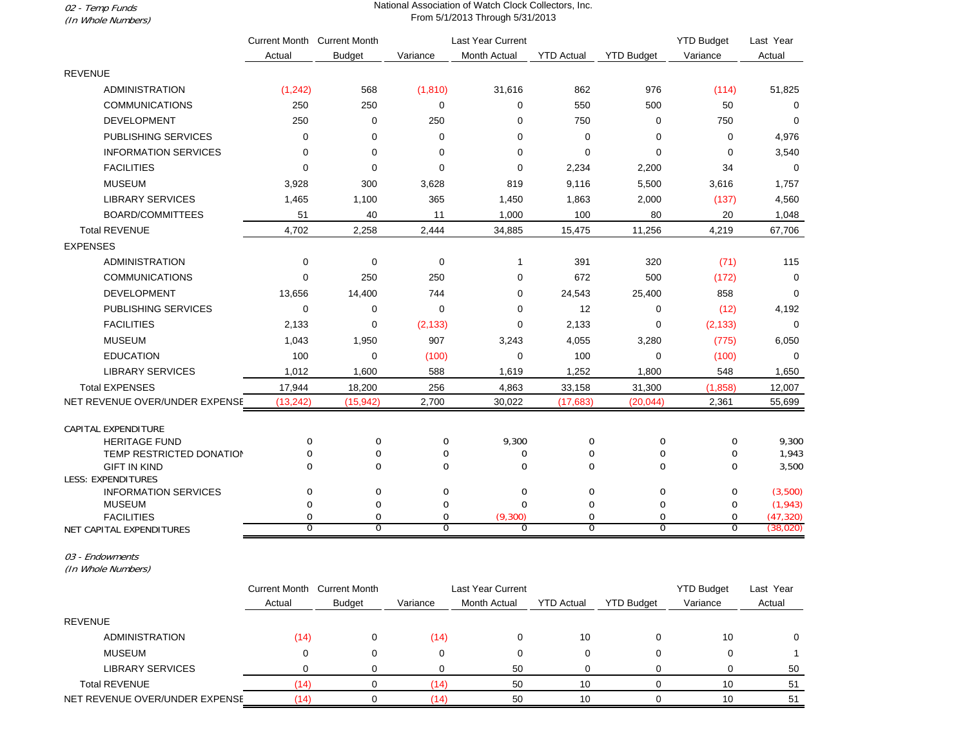02 - Temp Funds (In Whole Numbers)

#### National Association of Watch Clock Collectors, Inc. From 5/1/2013 Through 5/31/2013

|                                |               | Current Month Current Month   |                     | Last Year Current         |                               |                     | <b>YTD Budget</b> | Last Year              |
|--------------------------------|---------------|-------------------------------|---------------------|---------------------------|-------------------------------|---------------------|-------------------|------------------------|
|                                | Actual        | <b>Budget</b>                 | Variance            | Month Actual              | <b>YTD Actual</b>             | <b>YTD Budget</b>   | Variance          | Actual                 |
| <b>REVENUE</b>                 |               |                               |                     |                           |                               |                     |                   |                        |
| <b>ADMINISTRATION</b>          | (1, 242)      | 568                           | (1, 810)            | 31,616                    | 862                           | 976                 | (114)             | 51,825                 |
| <b>COMMUNICATIONS</b>          | 250           | 250                           | 0                   | 0                         | 550                           | 500                 | 50                | $\mathbf 0$            |
| <b>DEVELOPMENT</b>             | 250           | $\mathbf 0$                   | 250                 | $\Omega$                  | 750                           | $\mathbf 0$         | 750               | $\Omega$               |
| PUBLISHING SERVICES            | 0             | $\mathbf 0$                   | $\mathbf 0$         | 0                         | $\mathbf 0$                   | $\mathbf 0$         | $\mathbf 0$       | 4,976                  |
| <b>INFORMATION SERVICES</b>    | 0             | $\mathbf 0$                   | 0                   | 0                         | $\mathbf 0$                   | $\mathbf 0$         | 0                 | 3,540                  |
| <b>FACILITIES</b>              | $\mathbf 0$   | $\mathbf 0$                   | 0                   | 0                         | 2,234                         | 2,200               | 34                | $\mathbf 0$            |
| <b>MUSEUM</b>                  | 3,928         | 300                           | 3,628               | 819                       | 9,116                         | 5,500               | 3,616             | 1,757                  |
| <b>LIBRARY SERVICES</b>        | 1,465         | 1,100                         | 365                 | 1,450                     | 1,863                         | 2,000               | (137)             | 4,560                  |
| <b>BOARD/COMMITTEES</b>        | 51            | 40                            | 11                  | 1,000                     | 100                           | 80                  | 20                | 1,048                  |
| <b>Total REVENUE</b>           | 4,702         | 2,258                         | 2,444               | 34,885                    | 15,475                        | 11,256              | 4,219             | 67,706                 |
| <b>EXPENSES</b>                |               |                               |                     |                           |                               |                     |                   |                        |
| <b>ADMINISTRATION</b>          | 0             | $\mathbf 0$                   | 0                   | $\mathbf{1}$              | 391                           | 320                 | (71)              | 115                    |
| <b>COMMUNICATIONS</b>          | 0             | 250                           | 250                 | 0                         | 672                           | 500                 | (172)             | $\mathbf 0$            |
| <b>DEVELOPMENT</b>             | 13,656        | 14,400                        | 744                 | 0                         | 24,543                        | 25,400              | 858               | $\mathbf 0$            |
| <b>PUBLISHING SERVICES</b>     | $\mathbf 0$   | 0                             | $\mathbf 0$         | 0                         | 12                            | $\mathbf 0$         | (12)              | 4,192                  |
| <b>FACILITIES</b>              | 2,133         | $\mathbf 0$                   | (2, 133)            | 0                         | 2,133                         | 0                   | (2, 133)          | $\mathbf 0$            |
| <b>MUSEUM</b>                  | 1,043         | 1,950                         | 907                 | 3,243                     | 4,055                         | 3,280               | (775)             | 6,050                  |
| <b>EDUCATION</b>               | 100           | $\mathbf 0$                   | (100)               | $\mathbf 0$               | 100                           | $\Omega$            | (100)             | $\Omega$               |
| <b>LIBRARY SERVICES</b>        | 1,012         | 1,600                         | 588                 | 1,619                     | 1,252                         | 1,800               | 548               | 1,650                  |
| <b>Total EXPENSES</b>          | 17,944        | 18,200                        | 256                 | 4,863                     | 33,158                        | 31,300              | (1,858)           | 12,007                 |
| NET REVENUE OVER/UNDER EXPENSE | (13, 242)     | (15, 942)                     | 2,700               | 30,022                    | (17, 683)                     | (20, 044)           | 2,361             | 55,699                 |
| CAPITAL EXPENDITURE            |               |                               |                     |                           |                               |                     |                   |                        |
| <b>HERITAGE FUND</b>           | $\mathbf 0$   | 0                             | 0                   | 9,300                     | 0                             | 0                   | $\mathbf 0$       | 9,300                  |
| TEMP RESTRICTED DONATION       | 0             | 0                             | 0                   | $\mathbf 0$               | 0                             | 0                   | 0                 | 1,943                  |
| <b>GIFT IN KIND</b>            | $\Omega$      | $\Omega$                      | $\Omega$            | $\Omega$                  | $\Omega$                      | $\Omega$            | $\Omega$          | 3,500                  |
| LESS: EXPENDITURES             |               |                               |                     |                           |                               |                     |                   |                        |
| <b>INFORMATION SERVICES</b>    | 0             | $\mathbf 0$                   | 0                   | 0                         | $\mathbf 0$                   | $\mathbf 0$         | 0                 | (3,500)                |
| <b>MUSEUM</b>                  | $\Omega$      | $\mathbf 0$                   | $\mathbf 0$         | $\mathbf 0$               | $\mathbf 0$                   | 0                   | 0                 | (1, 943)               |
| <b>FACILITIES</b>              | $\Omega$<br>0 | $\mathbf 0$<br>$\overline{0}$ | 0<br>$\overline{0}$ | (9,300)<br>$\overline{0}$ | $\mathbf 0$<br>$\overline{0}$ | 0<br>$\overline{0}$ | 0<br>0            | (47, 320)<br>(38, 020) |
| NET CAPITAL EXPENDITURES       |               |                               |                     |                           |                               |                     |                   |                        |

03 - Endowments

(In Whole Numbers)

|                                | Current Month | <b>Current Month</b> | <b>Last Year Current</b> |                     |                   | <b>YTD Budget</b> | Last Year |        |
|--------------------------------|---------------|----------------------|--------------------------|---------------------|-------------------|-------------------|-----------|--------|
|                                | Actual        | <b>Budget</b>        | Variance                 | <b>Month Actual</b> | <b>YTD Actual</b> | <b>YTD Budget</b> | Variance  | Actual |
| <b>REVENUE</b>                 |               |                      |                          |                     |                   |                   |           |        |
| <b>ADMINISTRATION</b>          | (14)          |                      | (14)                     |                     | 10                |                   | 10        |        |
| <b>MUSEUM</b>                  |               |                      | 0                        | 0                   |                   |                   |           |        |
| LIBRARY SERVICES               |               |                      |                          | 50                  |                   |                   |           | 50     |
| <b>Total REVENUE</b>           | (14)          |                      | (14)                     | 50                  | 10                |                   | 10        | 51     |
| NET REVENUE OVER/UNDER EXPENSE | (14)          |                      | '14)                     | 50                  | 10                |                   | 10        | 51     |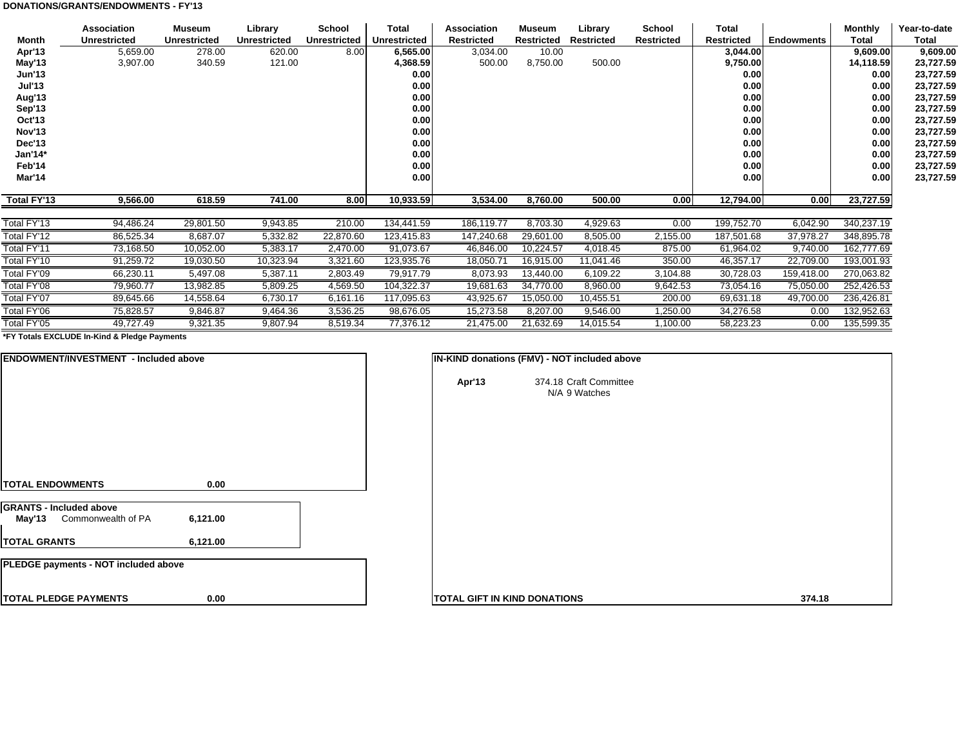#### **DONATIONS/GRANTS/ENDOWMENTS - FY'13**

|               | Association         | Museum              | Library             | School              | <b>Total</b>        | <b>Association</b> | Museum     | Library           | <b>School</b>     | Total             |                   | <b>Monthly</b> | Year-to-date |
|---------------|---------------------|---------------------|---------------------|---------------------|---------------------|--------------------|------------|-------------------|-------------------|-------------------|-------------------|----------------|--------------|
| Month         | <b>Unrestricted</b> | <b>Unrestricted</b> | <b>Unrestricted</b> | <b>Unrestricted</b> | <b>Unrestricted</b> | <b>Restricted</b>  | Restricted | <b>Restricted</b> | <b>Restricted</b> | <b>Restricted</b> | <b>Endowments</b> | <b>Total</b>   | Total        |
| Apr'13        | 5,659.00            | 278.00              | 620.00              | 8.00                | 6,565.00            | 3,034.00           | 10.00      |                   |                   | 3,044.00          |                   | 9,609.00       | 9,609.00     |
| May'13        | 3,907.00            | 340.59              | 121.00              |                     | 4,368.59            | 500.00             | 8,750.00   | 500.00            |                   | 9,750.00          |                   | 14,118.59      | 23,727.59    |
| <b>Jun'13</b> |                     |                     |                     |                     | 0.00                |                    |            |                   |                   | 0.00              |                   | 0.00           | 23,727.59    |
| <b>Jul'13</b> |                     |                     |                     |                     | 0.00                |                    |            |                   |                   | 0.00              |                   | 0.00           | 23,727.59    |
| Aug'13        |                     |                     |                     |                     | 0.00                |                    |            |                   |                   | 0.00              |                   | 0.00           | 23,727.59    |
| Sep'13        |                     |                     |                     |                     | 0.00                |                    |            |                   |                   | 0.00              |                   | 0.00           | 23,727.59    |
| Oct'13        |                     |                     |                     |                     | 0.00                |                    |            |                   |                   | 0.00              |                   | 0.00           | 23,727.59    |
| Nov'13        |                     |                     |                     |                     | 0.00                |                    |            |                   |                   | 0.00              |                   | 0.00           | 23,727.59    |
| Dec'13        |                     |                     |                     |                     | 0.00                |                    |            |                   |                   | 0.00              |                   | 0.00           | 23,727.59    |
| Jan'14*       |                     |                     |                     |                     | 0.00                |                    |            |                   |                   | 0.00              |                   | 0.00           | 23,727.59    |
| Feb'14        |                     |                     |                     |                     | 0.00                |                    |            |                   |                   | 0.00              |                   | 0.00           | 23,727.59    |
| Mar'14        |                     |                     |                     |                     | 0.00                |                    |            |                   |                   | 0.00              |                   | 0.00           | 23,727.59    |
|               |                     |                     |                     |                     |                     |                    |            |                   |                   |                   |                   |                |              |
| Total FY'13   | 9,566.00            | 618.59              | 741.00              | 8.00                | 10,933.59           | 3,534.00           | 8,760.00   | 500.00            | 0.00              | 12,794.00         | 0.00              | 23,727.59      |              |
|               |                     |                     |                     |                     |                     |                    |            |                   |                   |                   |                   |                |              |
| Total FY'13   | 94,486.24           | 29,801.50           | 9,943.85            | 210.00              | 134,441.59          | 186,119.77         | 8,703.30   | 4,929.63          | 0.00              | 199,752.70        | 6,042.90          | 340,237.19     |              |
| Total FY'12   | 86,525.34           | 8,687.07            | 5,332.82            | 22,870.60           | 123,415.83          | 147,240.68         | 29,601.00  | 8,505.00          | 2,155.00          | 187,501.68        | 37,978.27         | 348,895.78     |              |
| Total FY'11   | 73,168.50           | 10,052.00           | 5,383.17            | 2,470.00            | 91,073.67           | 46,846.00          | 10,224.57  | 4,018.45          | 875.00            | 61,964.02         | 9,740.00          | 162,777.69     |              |
| Total FY'10   | 91,259.72           | 19,030.50           | 10,323.94           | 3,321.60            | 123,935.76          | 18,050.71          | 16,915.00  | 11,041.46         | 350.00            | 46,357.17         | 22,709.00         | 193,001.93     |              |
| Total FY'09   | 66,230.11           | 5,497.08            | 5,387.11            | 2,803.49            | 79,917.79           | 8,073.93           | 13,440.00  | 6,109.22          | 3,104.88          | 30,728.03         | 159,418.00        | 270,063.82     |              |
| Total FY'08   | 79,960.77           | 13,982.85           | 5,809.25            | 4,569.50            | 104,322.37          | 19,681.63          | 34,770.00  | 8,960.00          | 9,642.53          | 73,054.16         | 75,050.00         | 252,426.53     |              |
| Total FY'07   | 89,645.66           | 14,558.64           | 6,730.17            | 6,161.16            | 117,095.63          | 43,925.67          | 15,050.00  | 10,455.51         | 200.00            | 69,631.18         | 49,700.00         | 236,426.81     |              |
| Total FY'06   | 75,828.57           | 9,846.87            | 9,464.36            | 3,536.25            | 98,676.05           | 15,273.58          | 8,207.00   | 9,546.00          | 1,250.00          | 34,276.58         | 0.00              | 132,952.63     |              |
| Total FY'05   | 49,727.49           | 9,321.35            | 9,807.94            | 8,519.34            | 77,376.12           | 21,475.00          | 21,632.69  | 14,015.54         | 1,100.00          | 58,223.23         | 0.00              | 135,599.35     |              |

**\*FY Totals EXCLUDE In-Kind & Pledge Payments**

| <b>ENDOWMENT/INVESTMENT - Included above</b>                   |          |        | IN-KIND donations (FMV) - NOT included above |
|----------------------------------------------------------------|----------|--------|----------------------------------------------|
|                                                                |          | Apr'13 | 374.18 Craft Committee<br>N/A 9 Watches      |
| <b>TOTAL ENDOWMENTS</b>                                        | 0.00     |        |                                              |
| <b>GRANTS - Included above</b><br>May'13<br>Commonwealth of PA | 6,121.00 |        |                                              |
| <b>TOTAL GRANTS</b>                                            | 6,121.00 |        |                                              |
| PLEDGE payments - NOT included above                           |          |        |                                              |
| <b>TOTAL PLEDGE PAYMENTS</b>                                   | 0.00     |        | <b>TOTAL GIFT IN KIND DONATIONS</b>          |

| Apr'13<br>374.18 Craft Committee<br>N/A 9 Watches |  |
|---------------------------------------------------|--|
|                                                   |  |
| OTAL GIFT IN KIND DONATIONS<br>374.18             |  |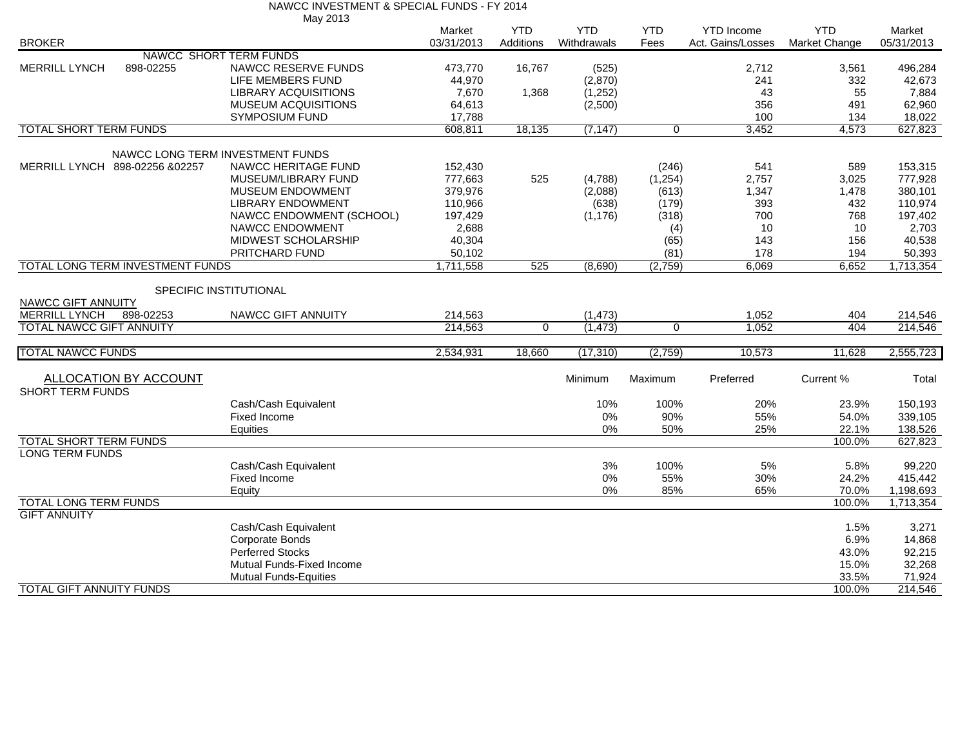|          | NAWCC INVESTMENT & SPECIAL FUNDS - FY 2014 |
|----------|--------------------------------------------|
| May 2013 |                                            |

|                                 |                                  |                                  | Market     | <b>YTD</b>  | <b>YTD</b>  | <b>YTD</b>     | <b>YTD</b> Income | <b>YTD</b>    | Market     |
|---------------------------------|----------------------------------|----------------------------------|------------|-------------|-------------|----------------|-------------------|---------------|------------|
| <b>BROKER</b>                   |                                  |                                  | 03/31/2013 | Additions   | Withdrawals | Fees           | Act. Gains/Losses | Market Change | 05/31/2013 |
|                                 |                                  | NAWCC SHORT TERM FUNDS           |            |             |             |                |                   |               |            |
| <b>MERRILL LYNCH</b>            | 898-02255                        | NAWCC RESERVE FUNDS              | 473,770    | 16,767      | (525)       |                | 2,712             | 3,561         | 496,284    |
|                                 |                                  | LIFE MEMBERS FUND                | 44,970     |             | (2,870)     |                | 241               | 332           | 42,673     |
|                                 |                                  | <b>LIBRARY ACQUISITIONS</b>      | 7,670      | 1,368       | (1,252)     |                | 43                | 55            | 7,884      |
|                                 |                                  | MUSEUM ACQUISITIONS              | 64,613     |             | (2,500)     |                | 356               | 491           | 62,960     |
|                                 |                                  | <b>SYMPOSIUM FUND</b>            | 17,788     |             |             |                | 100               | 134           | 18,022     |
| <b>TOTAL SHORT TERM FUNDS</b>   |                                  |                                  | 608,811    | 18,135      | (7, 147)    | 0              | 3,452             | 4,573         | 627,823    |
|                                 |                                  |                                  |            |             |             |                |                   |               |            |
|                                 |                                  | NAWCC LONG TERM INVESTMENT FUNDS |            |             |             |                |                   |               |            |
|                                 | MERRILL LYNCH 898-02256 &02257   | NAWCC HERITAGE FUND              | 152,430    |             |             | (246)          | 541               | 589           | 153,315    |
|                                 |                                  | MUSEUM/LIBRARY FUND              | 777,663    | 525         | (4,788)     | (1,254)        | 2,757             | 3,025         | 777,928    |
|                                 |                                  | <b>MUSEUM ENDOWMENT</b>          | 379,976    |             | (2,088)     | (613)          | 1,347             | 1,478         | 380,101    |
|                                 |                                  | <b>LIBRARY ENDOWMENT</b>         | 110,966    |             | (638)       | (179)          | 393               | 432           | 110,974    |
|                                 |                                  | NAWCC ENDOWMENT (SCHOOL)         | 197,429    |             | (1, 176)    | (318)          | 700               | 768           | 197,402    |
|                                 |                                  | <b>NAWCC ENDOWMENT</b>           | 2,688      |             |             | (4)            | 10                | 10            | 2,703      |
|                                 |                                  | MIDWEST SCHOLARSHIP              | 40,304     |             |             | (65)           | 143               | 156           | 40,538     |
|                                 |                                  | PRITCHARD FUND                   | 50,102     |             |             | (81)           | 178               | 194           | 50,393     |
|                                 | TOTAL LONG TERM INVESTMENT FUNDS |                                  | 1,711,558  | 525         | (8,690)     | (2,759)        | 6,069             | 6,652         | 1,713,354  |
|                                 |                                  | SPECIFIC INSTITUTIONAL           |            |             |             |                |                   |               |            |
| NAWCC GIFT ANNUITY              |                                  |                                  |            |             |             |                |                   |               |            |
| <b>MERRILL LYNCH</b>            | 898-02253                        | NAWCC GIFT ANNUITY               | 214,563    |             | (1, 473)    |                | 1,052             | 404           | 214,546    |
| <b>TOTAL NAWCC GIFT ANNUITY</b> |                                  |                                  | 214,563    | $\mathbf 0$ | (1, 473)    | $\overline{0}$ | 1,052             | 404           | 214,546    |
|                                 |                                  |                                  |            |             |             |                |                   |               |            |
| <b>TOTAL NAWCC FUNDS</b>        |                                  |                                  | 2,534,931  | 18,660      | (17, 310)   | (2,759)        | 10.573            | 11,628        | 2,555,723  |
|                                 |                                  |                                  |            |             |             |                |                   |               |            |
|                                 | ALLOCATION BY ACCOUNT            |                                  |            |             | Minimum     | Maximum        | Preferred         | Current %     | Total      |
| <b>SHORT TERM FUNDS</b>         |                                  |                                  |            |             |             |                |                   |               |            |
|                                 |                                  | Cash/Cash Equivalent             |            |             | 10%         | 100%           | 20%               | 23.9%         | 150,193    |
|                                 |                                  | <b>Fixed Income</b>              |            |             | $0\%$       | 90%            | 55%               | 54.0%         | 339,105    |
|                                 |                                  | Equities                         |            |             | 0%          | 50%            | 25%               | 22.1%         | 138,526    |
| <b>TOTAL SHORT TERM FUNDS</b>   |                                  |                                  |            |             |             |                |                   | 100.0%        | 627,823    |
| <b>LONG TERM FUNDS</b>          |                                  |                                  |            |             |             |                |                   |               |            |
|                                 |                                  | Cash/Cash Equivalent             |            |             | 3%          | 100%           | 5%                | 5.8%          | 99,220     |
|                                 |                                  | Fixed Income                     |            |             | 0%          | 55%            | 30%               | 24.2%         | 415.442    |
|                                 |                                  | Equity                           |            |             | $0\%$       | 85%            | 65%               | 70.0%         | 1,198,693  |
| <b>TOTAL LONG TERM FUNDS</b>    |                                  |                                  |            |             |             |                |                   | 100.0%        | 1,713,354  |
| <b>GIFT ANNUITY</b>             |                                  |                                  |            |             |             |                |                   |               |            |
|                                 |                                  | Cash/Cash Equivalent             |            |             |             |                |                   | 1.5%          | 3,271      |
|                                 |                                  | <b>Corporate Bonds</b>           |            |             |             |                |                   | 6.9%          | 14,868     |
|                                 |                                  | <b>Perferred Stocks</b>          |            |             |             |                |                   | 43.0%         | 92,215     |
|                                 |                                  | Mutual Funds-Fixed Income        |            |             |             |                |                   | 15.0%         | 32,268     |
|                                 |                                  | <b>Mutual Funds-Equities</b>     |            |             |             |                |                   | 33.5%         | 71,924     |
| <b>TOTAL GIFT ANNUITY FUNDS</b> |                                  |                                  |            |             |             |                |                   | 100.0%        | 214,546    |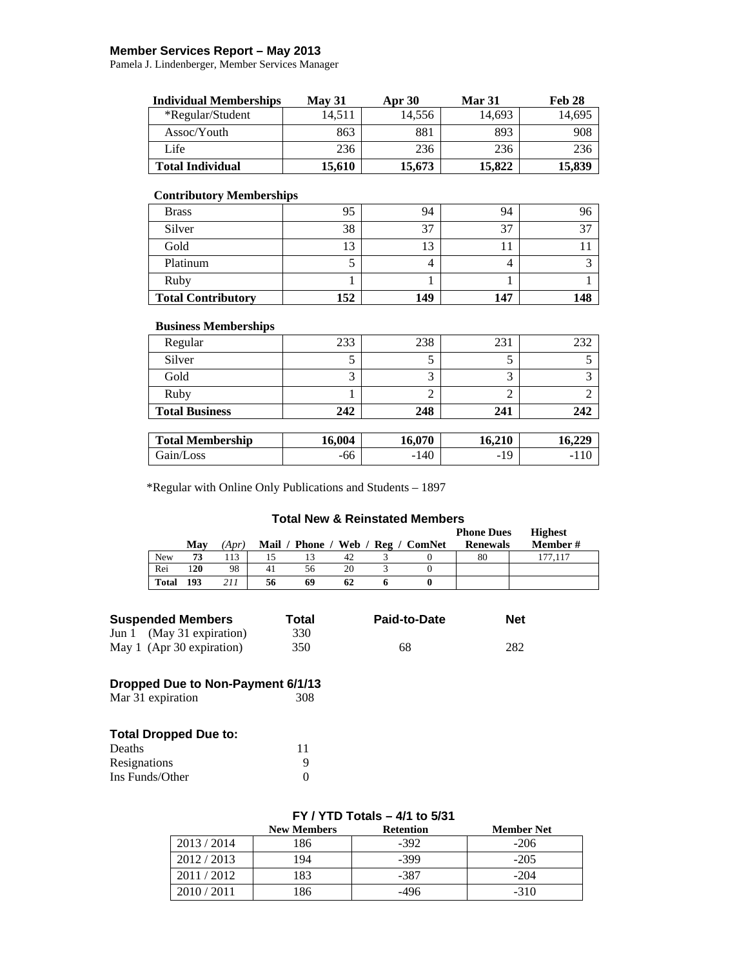### **Member Services Report – May 2013**

Pamela J. Lindenberger, Member Services Manager

| <b>Individual Memberships</b> | <b>May 31</b> | <b>Apr</b> 30 | <b>Mar 31</b> | Feb 28 |
|-------------------------------|---------------|---------------|---------------|--------|
| *Regular/Student              | 14.511        | 14.556        | 14.693        | 14.695 |
| Assoc/Youth                   | 863           | 881           | 893           | 908    |
| Life                          | 236           | 236           | 236           | 236    |
| <b>Total Individual</b>       | 15,610        | 15,673        | 15.822        | 15.839 |

#### **Contributory Memberships**

| <b>Brass</b>              | 95  | 94  | 94  | 96  |
|---------------------------|-----|-----|-----|-----|
| Silver                    | 38  | 37  |     | 27  |
| Gold                      | ר ו | ≏   |     |     |
| Platinum                  |     |     |     |     |
| Ruby                      |     |     |     |     |
| <b>Total Contributory</b> | 152 | 149 | 147 | 148 |

#### **Business Memberships**

| Regular               | 233 | 238 | 231 |     |
|-----------------------|-----|-----|-----|-----|
| Silver                |     |     |     |     |
| Gold                  |     |     |     |     |
| Ruby                  |     |     |     |     |
| <b>Total Business</b> | 242 | 248 | 241 | 242 |

| <b>Total Membership</b> | 16.004 | 16.070 | 16.210                               | . 22 $\epsilon$<br>10.ZZ |
|-------------------------|--------|--------|--------------------------------------|--------------------------|
| Gain/Loss               | -00    | $-140$ | $\Omega$<br>$\overline{\phantom{a}}$ | $\overline{\phantom{a}}$ |

\*Regular with Online Only Publications and Students – 1897

#### **Total New & Reinstated Members**

|              |     |      |    |    |    |                                   | <b>Phone Dues</b> | <b>Highest</b> |
|--------------|-----|------|----|----|----|-----------------------------------|-------------------|----------------|
|              | May | 'Apr |    |    |    | Mail / Phone / Web / Reg / ComNet | <b>Renewals</b>   | Member #       |
| <b>New</b>   | 73  | 13   |    |    | 42 |                                   | 80                |                |
| Rei          | 120 | 98   | 41 | 56 | 20 |                                   |                   |                |
| <b>Total</b> | 193 | 211  | 56 | 69 | 62 |                                   |                   |                |

| Suspended Members         | Total | Paid-to-Date | <b>Net</b> |  |
|---------------------------|-------|--------------|------------|--|
| Jun 1 (May 31 expiration) | 330   |              |            |  |
| May 1 (Apr 30 expiration) | 350   | 68           | 282        |  |

# **Dropped Due to Non-Payment 6/1/13**

Mar 31 expiration

# **Total Dropped Due to:**

| Deaths          |   |
|-----------------|---|
| Resignations    | 9 |
| Ins Funds/Other |   |

### **FY / YTD Totals – 4/1 to 5/31**

|             | <b>New Members</b> | <b>Retention</b> | <b>Member Net</b> |
|-------------|--------------------|------------------|-------------------|
| 2013 / 2014 | 86                 | $-392$           | $-206$            |
| 2012 / 2013 | 194                | -399             | $-205$            |
| 2011/2012   | .83                | -387             | $-204$            |
| 2010/2011   | 186                | -496             | $-310$            |